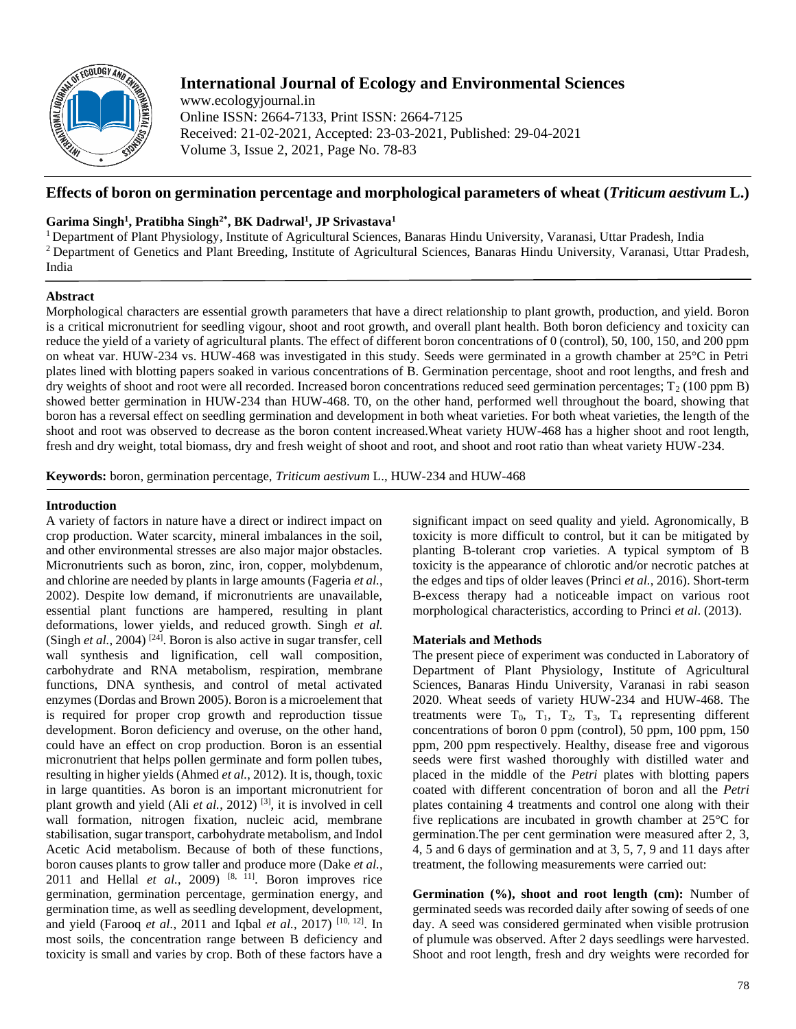

# **International Journal of Ecology and Environmental Sciences**

www.ecologyjournal.in Online ISSN: 2664-7133, Print ISSN: 2664-7125 Received: 21-02-2021, Accepted: 23-03-2021, Published: 29-04-2021 Volume 3, Issue 2, 2021, Page No. 78-83

## **Effects of boron on germination percentage and morphological parameters of wheat (***Triticum aestivum* **L.)**

## **Garima Singh<sup>1</sup> , Pratibha Singh2\*, BK Dadrwal<sup>1</sup> , JP Srivastava<sup>1</sup>**

<sup>1</sup> Department of Plant Physiology, Institute of Agricultural Sciences, Banaras Hindu University, Varanasi, Uttar Pradesh, India <sup>2</sup> Department of Genetics and Plant Breeding, Institute of Agricultural Sciences, Banaras Hindu University, Varanasi, Uttar Pradesh, India

### **Abstract**

Morphological characters are essential growth parameters that have a direct relationship to plant growth, production, and yield. Boron is a critical micronutrient for seedling vigour, shoot and root growth, and overall plant health. Both boron deficiency and toxicity can reduce the yield of a variety of agricultural plants. The effect of different boron concentrations of 0 (control), 50, 100, 150, and 200 ppm on wheat var. HUW-234 vs. HUW-468 was investigated in this study. Seeds were germinated in a growth chamber at 25°C in Petri plates lined with blotting papers soaked in various concentrations of B. Germination percentage, shoot and root lengths, and fresh and dry weights of shoot and root were all recorded. Increased boron concentrations reduced seed germination percentages;  $T_2$  (100 ppm B) showed better germination in HUW-234 than HUW-468. T0, on the other hand, performed well throughout the board, showing that boron has a reversal effect on seedling germination and development in both wheat varieties. For both wheat varieties, the length of the shoot and root was observed to decrease as the boron content increased.Wheat variety HUW-468 has a higher shoot and root length, fresh and dry weight, total biomass, dry and fresh weight of shoot and root, and shoot and root ratio than wheat variety HUW-234.

**Keywords:** boron, germination percentage, *Triticum aestivum* L., HUW-234 and HUW-468

### **Introduction**

A variety of factors in nature have a direct or indirect impact on crop production. Water scarcity, mineral imbalances in the soil, and other environmental stresses are also major major obstacles. Micronutrients such as boron, zinc, iron, copper, molybdenum, and chlorine are needed by plants in large amounts (Fageria *et al.*, 2002). Despite low demand, if micronutrients are unavailable, essential plant functions are hampered, resulting in plant deformations, lower yields, and reduced growth. Singh *et al.* (Singh  $et$   $al.$ , 2004)<sup>[24]</sup>. Boron is also active in sugar transfer, cell wall synthesis and lignification, cell wall composition, carbohydrate and RNA metabolism, respiration, membrane functions, DNA synthesis, and control of metal activated enzymes (Dordas and Brown 2005). Boron is a microelement that is required for proper crop growth and reproduction tissue development. Boron deficiency and overuse, on the other hand, could have an effect on crop production. Boron is an essential micronutrient that helps pollen germinate and form pollen tubes, resulting in higher yields (Ahmed *et al.*, 2012). It is, though, toxic in large quantities. As boron is an important micronutrient for plant growth and yield (Ali *et al.*, 2012) [3], it is involved in cell wall formation, nitrogen fixation, nucleic acid, membrane stabilisation, sugar transport, carbohydrate metabolism, and Indol Acetic Acid metabolism. Because of both of these functions, boron causes plants to grow taller and produce more (Dake *et al.*, 2011 and Hellal *et al.*, 2009) <sup>[8, 11]</sup>. Boron improves rice germination, germination percentage, germination energy, and germination time, as well as seedling development, development, and yield (Farooq *et al.*, 2011 and Iqbal *et al.*, 2017) [10, 12]. In most soils, the concentration range between B deficiency and toxicity is small and varies by crop. Both of these factors have a

significant impact on seed quality and yield. Agronomically, B toxicity is more difficult to control, but it can be mitigated by planting B-tolerant crop varieties. A typical symptom of B toxicity is the appearance of chlorotic and/or necrotic patches at the edges and tips of older leaves (Princi *et al.*, 2016). Short-term B-excess therapy had a noticeable impact on various root morphological characteristics, according to Princi *et al*. (2013).

## **Materials and Methods**

The present piece of experiment was conducted in Laboratory of Department of Plant Physiology, Institute of Agricultural Sciences, Banaras Hindu University, Varanasi in rabi season 2020. Wheat seeds of variety HUW-234 and HUW-468. The treatments were  $T_0$ ,  $T_1$ ,  $T_2$ ,  $T_3$ ,  $T_4$  representing different concentrations of boron 0 ppm (control), 50 ppm, 100 ppm, 150 ppm, 200 ppm respectively. Healthy, disease free and vigorous seeds were first washed thoroughly with distilled water and placed in the middle of the *Petri* plates with blotting papers coated with different concentration of boron and all the *Petri* plates containing 4 treatments and control one along with their five replications are incubated in growth chamber at 25°C for germination.The per cent germination were measured after 2, 3, 4, 5 and 6 days of germination and at 3, 5, 7, 9 and 11 days after treatment, the following measurements were carried out:

**Germination (%), shoot and root length (cm):** Number of germinated seeds was recorded daily after sowing of seeds of one day. A seed was considered germinated when visible protrusion of plumule was observed. After 2 days seedlings were harvested. Shoot and root length, fresh and dry weights were recorded for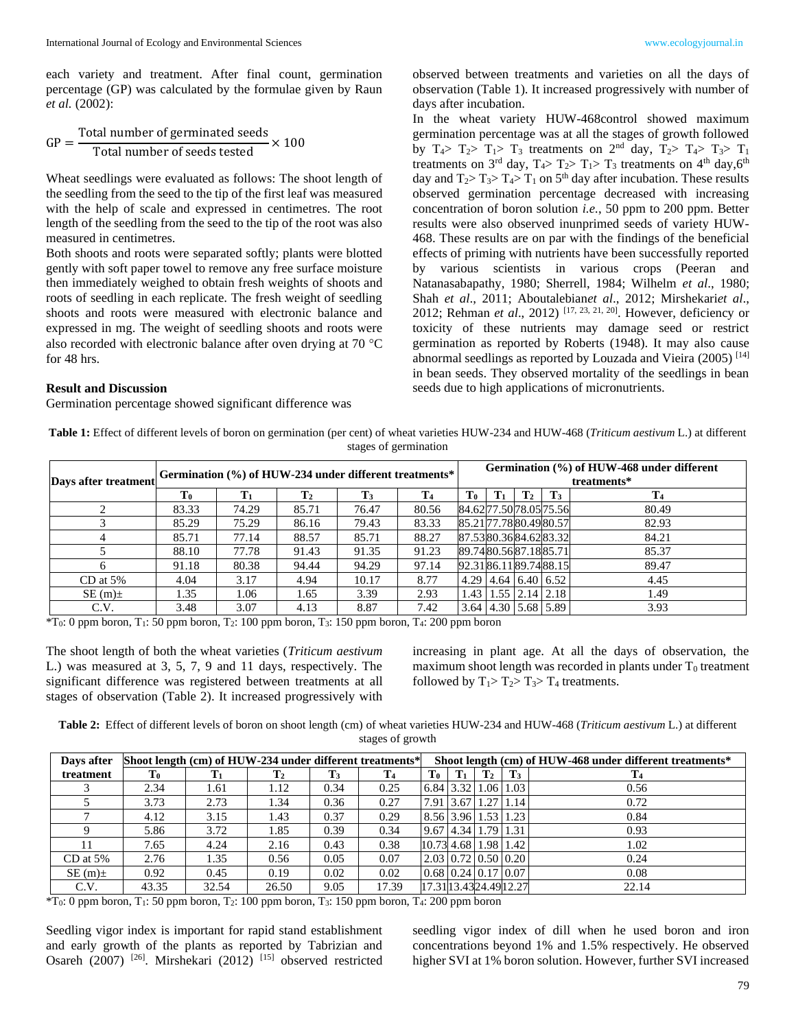each variety and treatment. After final count, germination percentage (GP) was calculated by the formulae given by Raun *et al.* (2002):

$$
GP = \frac{Total number of germinated seeds}{Total number of seeds tested} \times 100
$$

Wheat seedlings were evaluated as follows: The shoot length of the seedling from the seed to the tip of the first leaf was measured with the help of scale and expressed in centimetres. The root length of the seedling from the seed to the tip of the root was also measured in centimetres.

Both shoots and roots were separated softly; plants were blotted gently with soft paper towel to remove any free surface moisture then immediately weighed to obtain fresh weights of shoots and roots of seedling in each replicate. The fresh weight of seedling shoots and roots were measured with electronic balance and expressed in mg. The weight of seedling shoots and roots were also recorded with electronic balance after oven drying at 70  $^{\circ}$ C for 48 hrs.

#### **Result and Discussion**

Germination percentage showed significant difference was

observed between treatments and varieties on all the days of observation (Table 1). It increased progressively with number of days after incubation.

In the wheat variety HUW-468control showed maximum germination percentage was at all the stages of growth followed by  $T_4$ >  $T_2$ >  $T_1$ >  $T_3$  treatments on  $2<sup>nd</sup>$  day,  $T_2$ >  $T_4$ >  $T_3$ >  $T_1$ treatments on 3<sup>rd</sup> day,  $T_4$ >  $T_2$ >  $T_1$ >  $T_3$  treatments on 4<sup>th</sup> day, 6<sup>th</sup> day and  $T_2 > T_3 > T_4 > T_1$  on  $5<sup>th</sup>$  day after incubation. These results observed germination percentage decreased with increasing concentration of boron solution *i.e.*, 50 ppm to 200 ppm. Better results were also observed inunprimed seeds of variety HUW-468. These results are on par with the findings of the beneficial effects of priming with nutrients have been successfully reported by various scientists in various crops (Peeran and Natanasabapathy, 1980; Sherrell, 1984; Wilhelm *et al*., 1980; Shah *et al*., 2011; Aboutalebian*et al*., 2012; Mirshekari*et al*., 2012; Rehman *et al*., 2012) [17, 23, 21, 20]. However, deficiency or toxicity of these nutrients may damage seed or restrict germination as reported by Roberts (1948). It may also cause abnormal seedlings as reported by Louzada and Vieira (2005)<sup>[14]</sup> in bean seeds. They observed mortality of the seedlings in bean seeds due to high applications of micronutrients.

**Table 1:** Effect of different levels of boron on germination (per cent) of wheat varieties HUW-234 and HUW-468 (*Triticum aestivum* L.) at different stages of germination

| Days after treatment |                | Germination (%) of HUW-234 under different treatments* |                |                |                |    |                |                |                                   | Germination (%) of HUW-468 under different<br>treatments* |  |  |  |  |  |  |
|----------------------|----------------|--------------------------------------------------------|----------------|----------------|----------------|----|----------------|----------------|-----------------------------------|-----------------------------------------------------------|--|--|--|--|--|--|
|                      | T <sub>0</sub> |                                                        | $\mathbf{T}_2$ | $\mathbf{T}_3$ | T <sub>4</sub> | To | $\mathbf{T}_1$ | $\mathbf{T}_2$ | $\mathbf{T}_3$                    | T <sub>4</sub>                                            |  |  |  |  |  |  |
|                      | 83.33          | 74.29                                                  | 85.71          | 76.47          | 80.56          |    |                |                | 84.6277.5078.0575.56              | 80.49                                                     |  |  |  |  |  |  |
|                      | 85.29          | 75.29                                                  | 86.16          | 79.43          | 83.33          |    |                |                | 85.2177.7880.4980.57              | 82.93                                                     |  |  |  |  |  |  |
|                      | 85.71          | 77.14                                                  | 88.57          | 85.71          | 88.27          |    |                |                | 87.5380.3684.6283.32              | 84.21                                                     |  |  |  |  |  |  |
|                      | 88.10          | 77.78                                                  | 91.43          | 91.35          | 91.23          |    |                |                | 89.7480.5687.1885.71              | 85.37                                                     |  |  |  |  |  |  |
|                      | 91.18          | 80.38                                                  | 94.44          | 94.29          | 97.14          |    |                |                | 92.3186.1189.7488.15              | 89.47                                                     |  |  |  |  |  |  |
| $CD$ at 5%           | 4.04           | 3.17                                                   | 4.94           | 10.17          | 8.77           |    |                |                | $4.29$   4.64   6.40   6.52       | 4.45                                                      |  |  |  |  |  |  |
| $SE(m)$ ±            | 1.35           | 1.06                                                   | 1.65           | 3.39           | 2.93           |    |                |                | $1.43$   $1.55$   $2.14$   $2.18$ | 1.49                                                      |  |  |  |  |  |  |
| C.V.                 | 3.48           | 3.07                                                   | 4.13           | 8.87           | 7.42           |    |                |                | 3.64   4.30   5.68   5.89         | 3.93                                                      |  |  |  |  |  |  |

 $*T_0$ : 0 ppm boron, T<sub>1</sub>: 50 ppm boron, T<sub>2</sub>: 100 ppm boron, T<sub>3</sub>: 150 ppm boron, T<sub>4</sub>: 200 ppm boron

The shoot length of both the wheat varieties (*Triticum aestivum* L.) was measured at 3, 5, 7, 9 and 11 days, respectively. The significant difference was registered between treatments at all stages of observation (Table 2). It increased progressively with

increasing in plant age. At all the days of observation, the maximum shoot length was recorded in plants under  $T_0$  treatment followed by  $T_1 > T_2 > T_3 > T_4$  treatments.

**Table 2:** Effect of different levels of boron on shoot length (cm) of wheat varieties HUW-234 and HUW-468 (*Triticum aestivum* L.) at different stages of growth

| Days after | Shoot length (cm) of HUW-234 under different treatments* |       |                |                |                | Shoot length (cm) of HUW-468 under different treatments* |                |                |                                           |       |  |  |  |  |
|------------|----------------------------------------------------------|-------|----------------|----------------|----------------|----------------------------------------------------------|----------------|----------------|-------------------------------------------|-------|--|--|--|--|
| treatment  | $T_0$                                                    |       | $\mathbf{T}_2$ | $\mathbf{T}_3$ | T <sub>4</sub> | T <sub>0</sub>                                           | $\mathbf{T}_1$ | $\mathbf{T}_2$ | $\mathbf{T}_3$                            |       |  |  |  |  |
|            | 2.34                                                     | 1.61  | 1.12           | 0.34           | 0.25           | 6.84   3.32   1.06   1.03                                |                |                |                                           | 0.56  |  |  |  |  |
|            | 3.73                                                     | 2.73  | 1.34           | 0.36           | 0.27           | 7.91                                                     |                |                | 3.67 1.27 1.14                            | 0.72  |  |  |  |  |
|            | 4.12                                                     | 3.15  | 1.43           | 0.37           | 0.29           |                                                          |                |                | 8.56   3.96   1.53   1.23                 | 0.84  |  |  |  |  |
|            | 5.86                                                     | 3.72  | 1.85           | 0.39           | 0.34           | 9.67 4.34 1.79 1.31                                      |                |                |                                           | 0.93  |  |  |  |  |
| $11^{-}$   | 7.65                                                     | 4.24  | 2.16           | 0.43           | 0.38           | $[10.73]$ 4.68   1.98   1.42                             |                |                |                                           | 1.02  |  |  |  |  |
| $CD$ at 5% | 2.76                                                     | 1.35  | 0.56           | 0.05           | 0.07           |                                                          |                |                | $2.03 \mid 0.72 \mid 0.50 \mid 0.20 \mid$ | 0.24  |  |  |  |  |
| $SE(m)$ ±  | 0.92                                                     | 0.45  | 0.19           | 0.02           | 0.02           | $0.68$ $0.24$ $0.17$ $0.07$                              |                |                |                                           | 0.08  |  |  |  |  |
| C.V.       | 43.35                                                    | 32.54 | 26.50          | 9.05           | 17.39          | 17.31 13.43 24.49 12.27                                  |                |                |                                           | 22.14 |  |  |  |  |

 $*T_0$ : 0 ppm boron, T<sub>1</sub>: 50 ppm boron, T<sub>2</sub>: 100 ppm boron, T<sub>3</sub>: 150 ppm boron, T<sub>4</sub>: 200 ppm boron

Seedling vigor index is important for rapid stand establishment and early growth of the plants as reported by Tabrizian and Osareh (2007) <sup>[26]</sup>. Mirshekari (2012) <sup>[15]</sup> observed restricted

seedling vigor index of dill when he used boron and iron concentrations beyond 1% and 1.5% respectively. He observed higher SVI at 1% boron solution. However, further SVI increased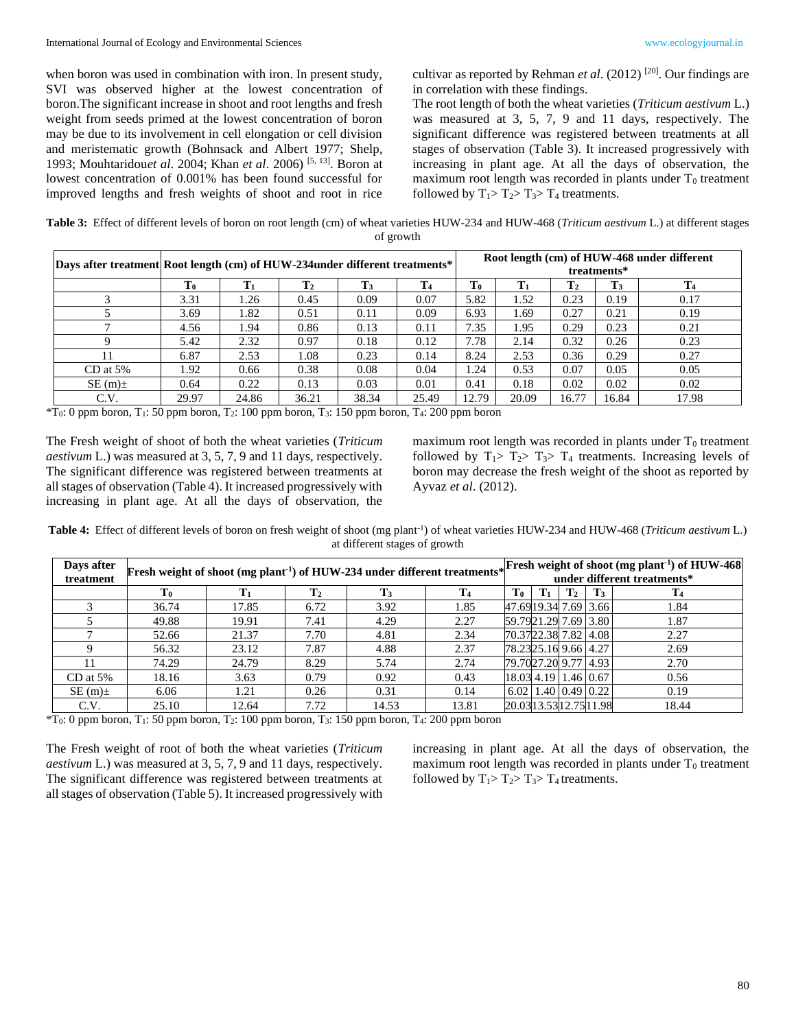when boron was used in combination with iron. In present study, SVI was observed higher at the lowest concentration of boron.The significant increase in shoot and root lengths and fresh weight from seeds primed at the lowest concentration of boron may be due to its involvement in cell elongation or cell division and meristematic growth (Bohnsack and Albert 1977; Shelp, 1993; Mouhtaridou*et al*. 2004; Khan *et al*. 2006) [5, 13]. Boron at lowest concentration of 0.001% has been found successful for improved lengths and fresh weights of shoot and root in rice

cultivar as reported by Rehman *et al*. (2012) [20]. Our findings are in correlation with these findings.

The root length of both the wheat varieties (*Triticum aestivum* L.) was measured at 3, 5, 7, 9 and 11 days, respectively. The significant difference was registered between treatments at all stages of observation (Table 3). It increased progressively with increasing in plant age. At all the days of observation, the maximum root length was recorded in plants under  $T_0$  treatment followed by  $T_1 > T_2 > T_3 > T_4$  treatments.

**Table 3:** Effect of different levels of boron on root length (cm) of wheat varieties HUW-234 and HUW-468 (*Triticum aestivum* L.) at different stages of growth

| Days after treatment Root length (cm) of HUW-234 under different treatments* |                |       |                |                |       | Root length (cm) of HUW-468 under different<br>treatments* |                |                |             |       |  |  |
|------------------------------------------------------------------------------|----------------|-------|----------------|----------------|-------|------------------------------------------------------------|----------------|----------------|-------------|-------|--|--|
|                                                                              | T <sub>0</sub> | T1    | $\mathbf{T}_2$ | $\mathbf{T}_3$ | T0    | $\mathbf{T}_1$                                             | $\mathbf{T}_2$ | $\mathbf{T}_3$ | ${\bf T}_4$ |       |  |  |
|                                                                              | 3.31           | 1.26  | 0.45           | 0.09           | 0.07  | 5.82                                                       | 1.52           | 0.23           | 0.19        | 0.17  |  |  |
|                                                                              | 3.69           | 1.82  | 0.51           | 0.11           | 0.09  | 6.93                                                       | 1.69           | 0.27           | 0.21        | 0.19  |  |  |
|                                                                              | 4.56           | 1.94  | 0.86           | 0.13           | 0.11  | 7.35                                                       | 1.95           | 0.29           | 0.23        | 0.21  |  |  |
|                                                                              | 5.42           | 2.32  | 0.97           | 0.18           | 0.12  | 7.78                                                       | 2.14           | 0.32           | 0.26        | 0.23  |  |  |
|                                                                              | 6.87           | 2.53  | 1.08           | 0.23           | 0.14  | 8.24                                                       | 2.53           | 0.36           | 0.29        | 0.27  |  |  |
| $CD$ at 5%                                                                   | 1.92           | 0.66  | 0.38           | 0.08           | 0.04  | 1.24                                                       | 0.53           | 0.07           | 0.05        | 0.05  |  |  |
| $SE(m)$ ±                                                                    | 0.64           | 0.22  | 0.13           | 0.03           | 0.01  | 0.41                                                       | 0.18           | 0.02           | 0.02        | 0.02  |  |  |
| C.V.                                                                         | 29.97          | 24.86 | 36.21          | 38.34          | 25.49 | 12.79                                                      | 20.09          | 16.77          | 16.84       | 17.98 |  |  |

 $*T_0$ : 0 ppm boron, T<sub>1</sub>: 50 ppm boron, T<sub>2</sub>: 100 ppm boron, T<sub>3</sub>: 150 ppm boron, T<sub>4</sub>: 200 ppm boron

The Fresh weight of shoot of both the wheat varieties (*Triticum aestivum* L.) was measured at 3, 5, 7, 9 and 11 days, respectively. The significant difference was registered between treatments at all stages of observation (Table 4). It increased progressively with increasing in plant age. At all the days of observation, the

maximum root length was recorded in plants under  $T_0$  treatment followed by  $T_1 > T_2 > T_3 > T_4$  treatments. Increasing levels of boron may decrease the fresh weight of the shoot as reported by Ayvaz *et al*. (2012).

Table 4: Effect of different levels of boron on fresh weight of shoot (mg plant<sup>-1</sup>) of wheat varieties HUW-234 and HUW-468 (*Triticum aestivum* L.) at different stages of growth

| Days after<br>treatment |                |                                                                                                                                                                | Fresh weight of shoot (mg plant <sup>-1</sup> ) of HUW-234 under different treatments* Fresh weight of shoot (mg plant <sup>-1</sup> ) of HUW-468 |       |       |                                        |  |  |  |       |  |  |
|-------------------------|----------------|----------------------------------------------------------------------------------------------------------------------------------------------------------------|---------------------------------------------------------------------------------------------------------------------------------------------------|-------|-------|----------------------------------------|--|--|--|-------|--|--|
|                         | $\mathbf{T_0}$ | T <sub>2</sub><br>T <sub>3</sub><br>$\mathbf{T}_3$<br>T <sub>4</sub><br>T <sub>0</sub><br>$\mathbf{T}_1$<br>T <sub>1</sub><br>$\mathbf{T}_2$<br>$\mathbf{T}_4$ |                                                                                                                                                   |       |       |                                        |  |  |  |       |  |  |
|                         | 36.74          | 17.85                                                                                                                                                          | 6.72                                                                                                                                              | 3.92  | 1.85  | 47.6919.34 7.69 3.66                   |  |  |  | 1.84  |  |  |
|                         | 49.88          | 19.91                                                                                                                                                          | 7.41                                                                                                                                              | 4.29  | 2.27  | 59.7921.29 7.69 3.80                   |  |  |  | 1.87  |  |  |
|                         | 52.66          | 21.37                                                                                                                                                          | 7.70                                                                                                                                              | 4.81  | 2.34  | 70.3722.38 7.82 4.08                   |  |  |  | 2.27  |  |  |
|                         | 56.32          | 23.12                                                                                                                                                          | 7.87                                                                                                                                              | 4.88  | 2.37  | 78.2325.16 9.66 4.27                   |  |  |  | 2.69  |  |  |
| 11                      | 74.29          | 24.79                                                                                                                                                          | 8.29                                                                                                                                              | 5.74  | 2.74  | 79.7027.20 9.77 4.93                   |  |  |  | 2.70  |  |  |
| $CD$ at 5%              | 18.16          | 3.63                                                                                                                                                           | 0.79                                                                                                                                              | 0.92  | 0.43  | 18.03 4.19 1.46 0.67                   |  |  |  | 0.56  |  |  |
| $SE(m)$ ±               | 6.06           | 1.21                                                                                                                                                           | 0.26                                                                                                                                              | 0.31  | 0.14  | $(6.02 \mid 1.40 \mid 0.49 \mid 0.22)$ |  |  |  | 0.19  |  |  |
| C.V.                    | 25.10          | 12.64                                                                                                                                                          | 7.72                                                                                                                                              | 14.53 | 13.81 | 20.0313.5312.7511.98                   |  |  |  | 18.44 |  |  |

 $*T_0$ : 0 ppm boron, T<sub>1</sub>: 50 ppm boron, T<sub>2</sub>: 100 ppm boron, T<sub>3</sub>: 150 ppm boron, T<sub>4</sub>: 200 ppm boron

The Fresh weight of root of both the wheat varieties (*Triticum aestivum* L.) was measured at 3, 5, 7, 9 and 11 days, respectively. The significant difference was registered between treatments at all stages of observation (Table 5). It increased progressively with

increasing in plant age. At all the days of observation, the maximum root length was recorded in plants under  $T_0$  treatment followed by  $T_1 > T_2 > T_3 > T_4$  treatments.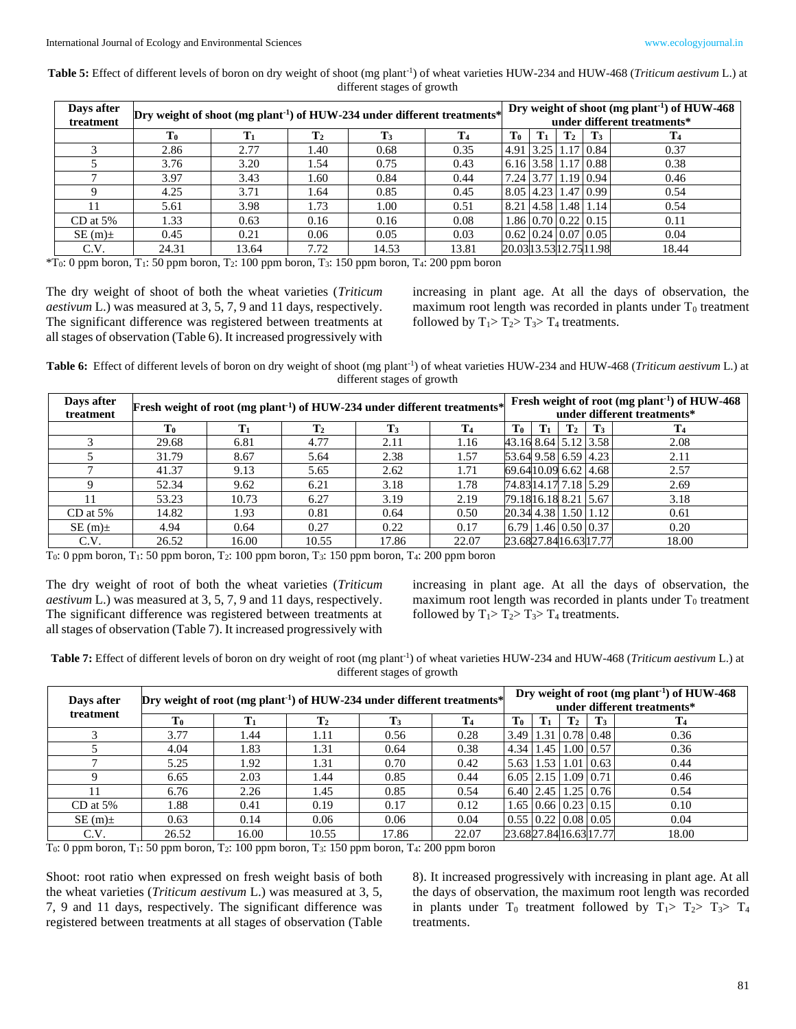**Table 5:** Effect of different levels of boron on dry weight of shoot (mg plant-1 ) of wheat varieties HUW-234 and HUW-468 (*Triticum aestivum* L.) at different stages of growth

| Days after | Dry weight of shoot (mg plant <sup>-1</sup> ) of HUW-234 under different treatments* |       |                | Dry weight of shoot (mg plant <sup>-1</sup> ) of HUW-468 |       |                |             |                |                                      |       |
|------------|--------------------------------------------------------------------------------------|-------|----------------|----------------------------------------------------------|-------|----------------|-------------|----------------|--------------------------------------|-------|
| treatment  |                                                                                      |       |                | under different treatments*                              |       |                |             |                |                                      |       |
|            | T0                                                                                   |       | $\mathbf{T}_2$ | T <sub>0</sub>                                           | T1    | $\mathbf{T}_2$ | T3          | T <sub>4</sub> |                                      |       |
|            | 2.86                                                                                 | 2.77  | 1.40           | 0.68                                                     | 0.35  |                | $4.91$ 3.25 |                | $1.17 \,   \, 0.84 \,  $             | 0.37  |
|            | 3.76                                                                                 | 3.20  | 1.54           | 0.75                                                     | 0.43  |                |             |                | $6.16$ 3.58 1.17 0.88                | 0.38  |
|            | 3.97                                                                                 | 3.43  | 1.60           | 0.84                                                     | 0.44  |                | 7.24 3.77   |                | $1.19 \mid 0.94 \mid$                | 0.46  |
|            | 4.25                                                                                 | 3.71  | 1.64           | 0.85                                                     | 0.45  |                |             |                | 8.05   4.23   1.47   0.99            | 0.54  |
| 11         | 5.61                                                                                 | 3.98  | 1.73           | 1.00                                                     | 0.51  |                |             |                | 8.21 4.58 1.48 1.14                  | 0.54  |
| $CD$ at 5% | 1.33                                                                                 | 0.63  | 0.16           | 0.16                                                     | 0.08  |                |             |                | $1.86 \mid 0.70 \mid 0.22 \mid 0.15$ | 0.11  |
| $SE(m)$ ±  | 0.45                                                                                 | 0.21  | 0.06           | 0.05                                                     | 0.03  |                |             |                | $0.62$   0.24   0.07   0.05          | 0.04  |
| C.V.       | 24.31                                                                                | 13.64 | 7.72           | 14.53                                                    | 13.81 |                |             |                | 20.0313.5312.7511.98                 | 18.44 |

 $*T_0$ : 0 ppm boron, T<sub>1</sub>: 50 ppm boron, T<sub>2</sub>: 100 ppm boron, T<sub>3</sub>: 150 ppm boron, T<sub>4</sub>: 200 ppm boron

The dry weight of shoot of both the wheat varieties (*Triticum aestivum* L.) was measured at 3, 5, 7, 9 and 11 days, respectively. The significant difference was registered between treatments at all stages of observation (Table 6). It increased progressively with

increasing in plant age. At all the days of observation, the maximum root length was recorded in plants under  $T_0$  treatment followed by  $T_1 > T_2 > T_3 > T_4$  treatments.

Table 6: Effect of different levels of boron on dry weight of shoot (mg plant<sup>-1</sup>) of wheat varieties HUW-234 and HUW-468 (*Triticum aestivum* L.) at different stages of growth

| Days after<br>treatment | Fresh weight of root (mg plant <sup>-1</sup> ) of HUW-234 under different treatments* |                                                                                                                   |       | Fresh weight of root (mg plant <sup>-1</sup> ) of HUW-468<br>under different treatments* |       |                                        |  |  |  |       |  |  |
|-------------------------|---------------------------------------------------------------------------------------|-------------------------------------------------------------------------------------------------------------------|-------|------------------------------------------------------------------------------------------|-------|----------------------------------------|--|--|--|-------|--|--|
|                         | $\mathbf{T_0}$                                                                        | $\mathbf{T_0}$<br>$\mathbf{T}_3$<br>$\mathbf{T}_4$<br>$T_3$<br>$\mathbf{T}_2$<br>$\mathbf{T}_2$<br>$\mathbf{T}_1$ |       |                                                                                          |       |                                        |  |  |  |       |  |  |
|                         | 29.68                                                                                 | 6.81                                                                                                              | 4.77  | 2.11                                                                                     | 1.16  | 43.16 8.64 5.12 3.58                   |  |  |  | 2.08  |  |  |
|                         | 31.79                                                                                 | 8.67                                                                                                              | 5.64  | 2.38                                                                                     | 1.57  | 53.64 9.58 6.59 4.23                   |  |  |  | 2.11  |  |  |
|                         | 41.37                                                                                 | 9.13                                                                                                              | 5.65  | 2.62                                                                                     | 1.71  | 69.6410.09 6.62 4.68                   |  |  |  | 2.57  |  |  |
| $\Omega$                | 52.34                                                                                 | 9.62                                                                                                              | 6.21  | 3.18                                                                                     | 1.78  | 74.83 14.17 7.18 5.29                  |  |  |  | 2.69  |  |  |
|                         | 53.23                                                                                 | 10.73                                                                                                             | 6.27  | 3.19                                                                                     | 2.19  | 79.1816.18 8.21   5.67                 |  |  |  | 3.18  |  |  |
| $CD$ at 5%              | 14.82                                                                                 | 1.93                                                                                                              | 0.81  | 0.64                                                                                     | 0.50  | 20.34 4.38 1.50 1.12                   |  |  |  | 0.61  |  |  |
| $SE(m)$ ±               | 4.94                                                                                  | 0.64                                                                                                              | 0.27  | 0.22                                                                                     | 0.17  | $(6.79 \mid 1.46 \mid 0.50 \mid 0.37)$ |  |  |  | 0.20  |  |  |
| C.V.                    | 26.52                                                                                 | 16.00                                                                                                             | 10.55 | 17.86                                                                                    | 22.07 | 23.6827.8416.6317.77                   |  |  |  | 18.00 |  |  |

T0: 0 ppm boron, T1: 50 ppm boron, T2: 100 ppm boron, T3: 150 ppm boron, T4: 200 ppm boron

The dry weight of root of both the wheat varieties (*Triticum aestivum* L.) was measured at 3, 5, 7, 9 and 11 days, respectively. The significant difference was registered between treatments at all stages of observation (Table 7). It increased progressively with

increasing in plant age. At all the days of observation, the maximum root length was recorded in plants under  $T_0$  treatment followed by  $T_1 > T_2 > T_3 > T_4$  treatments.

Table 7: Effect of different levels of boron on dry weight of root (mg plant<sup>-1</sup>) of wheat varieties HUW-234 and HUW-468 (*Triticum aestivum* L.) at different stages of growth

| Days after<br>treatment | Dry weight of root (mg plant <sup>-1</sup> ) of HUW-234 under different treatments* |       |                | Dry weight of root (mg plant <sup>-1</sup> ) of HUW-468<br>under different treatments* |                |                |               |                |                                           |                |
|-------------------------|-------------------------------------------------------------------------------------|-------|----------------|----------------------------------------------------------------------------------------|----------------|----------------|---------------|----------------|-------------------------------------------|----------------|
|                         | T0                                                                                  |       | $\mathbf{T}_2$ | $\mathbf{T}_3$                                                                         | T <sub>4</sub> | T <sub>0</sub> |               | $\mathbf{T}_2$ | $\mathbf{T}_3$                            | T <sub>4</sub> |
|                         | 3.77                                                                                | l.44  | 1.11           | 0.56                                                                                   | 0.28           | 3.49 1.31      |               |                | 0.78 0.48                                 | 0.36           |
|                         | 4.04                                                                                | 1.83  | 1.31           | 0.64                                                                                   | 0.38           |                | 4.34 1.45     |                | $1.00$   0.57                             | 0.36           |
|                         | 5.25                                                                                | 1.92  | 1.31           | 0.70                                                                                   | 0.42           |                | $5.63$ 1.53   |                | $1.01 \mid 0.63 \mid$                     | 0.44           |
|                         | 6.65                                                                                | 2.03  | 1.44           | 0.85                                                                                   | 0.44           |                | $6.05$   2.15 |                | 1.09 0.71                                 | 0.46           |
|                         | 6.76                                                                                | 2.26  | 1.45           | 0.85                                                                                   | 0.54           |                |               |                | $6.40$   2.45   1.25   0.76               | 0.54           |
| $CD$ at 5%              | 1.88                                                                                | 0.41  | 0.19           | 0.17                                                                                   | 0.12           |                |               |                | $1.65$   0.66   0.23   0.15               | 0.10           |
| $SE(m)$ ±               | 0.63                                                                                | 0.14  | 0.06           | 0.06                                                                                   | 0.04           |                |               |                | $0.55 \mid 0.22 \mid 0.08 \mid 0.05 \mid$ | 0.04           |
| C.V.                    | 26.52                                                                               | 16.00 | 10.55          | 17.86                                                                                  | 22.07          |                |               |                | 23.6827.8416.6317.77                      | 18.00          |

 $T_0$ : 0 ppm boron,  $T_1$ : 50 ppm boron,  $T_2$ : 100 ppm boron,  $T_3$ : 150 ppm boron,  $T_4$ : 200 ppm boron

Shoot: root ratio when expressed on fresh weight basis of both the wheat varieties (*Triticum aestivum* L.) was measured at 3, 5, 7, 9 and 11 days, respectively. The significant difference was registered between treatments at all stages of observation (Table

8). It increased progressively with increasing in plant age. At all the days of observation, the maximum root length was recorded in plants under  $T_0$  treatment followed by  $T_1 > T_2 > T_3 > T_4$ treatments.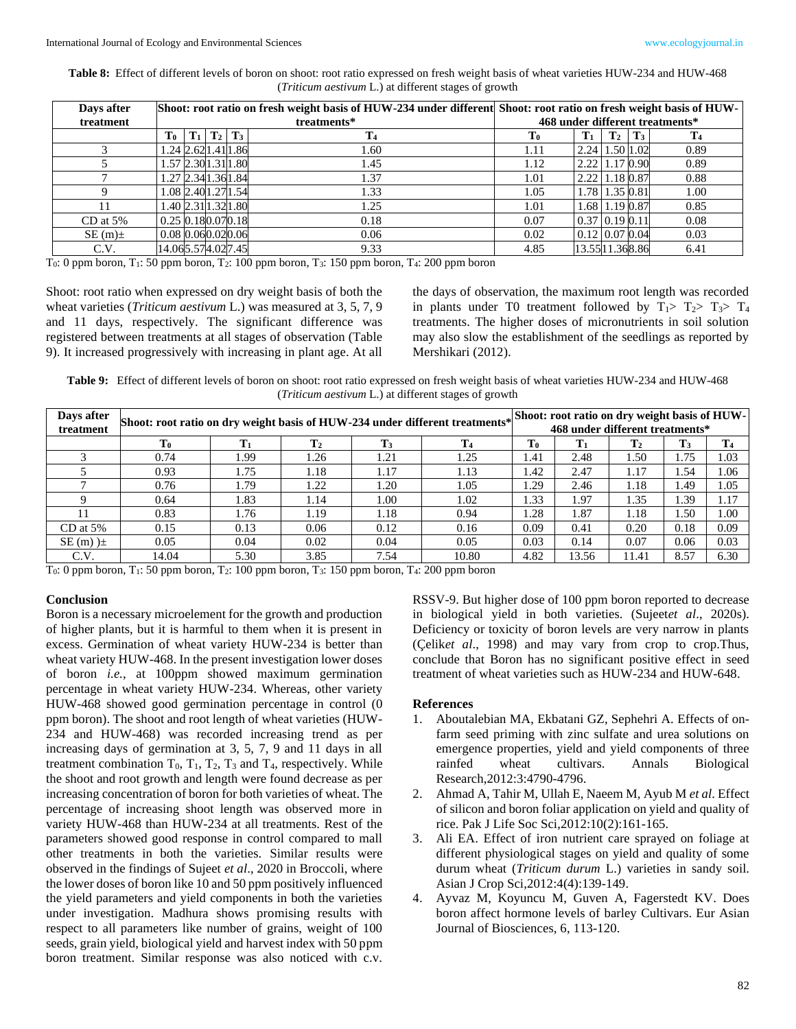**Table 8:** Effect of different levels of boron on shoot: root ratio expressed on fresh weight basis of wheat varieties HUW-234 and HUW-468 (*Triticum aestivum* L.) at different stages of growth

| Days after |                                |                   |                | Shoot: root ratio on fresh weight basis of HUW-234 under different Shoot: root ratio on fresh weight basis of HUW- |                  |                |                |                |  |  |  |
|------------|--------------------------------|-------------------|----------------|--------------------------------------------------------------------------------------------------------------------|------------------|----------------|----------------|----------------|--|--|--|
| treatment  |                                |                   | treatments*    | 468 under different treatments*                                                                                    |                  |                |                |                |  |  |  |
|            | To                             | $T_1   T_2   T_3$ | $\mathbf{T}_4$ | $\mathbf{T_0}$                                                                                                     | ${\bf T}_1$      | $\mathbf{T}_2$ | $\mathbf{T}_3$ | T <sub>4</sub> |  |  |  |
|            | 1.24 2.62 1.41 1.86            |                   | 1.60           | 1.11                                                                                                               | 2.24 1.50 1.02   |                |                | 0.89           |  |  |  |
|            | 1.57 2.30 1.31 1.80            |                   | 1.45           | 1.12                                                                                                               | 2.22 1.17 0.90   |                |                | 0.89           |  |  |  |
|            | 1.27 2.34 1.36 1.84            |                   | 1.37           | 1.01                                                                                                               | $2.22$ 1.18 0.87 |                |                | 0.88           |  |  |  |
|            | 1.08 2.40 1.27 1.54            |                   | 1.33           | 1.05                                                                                                               |                  | 1.78 1.35 0.81 |                | 1.00           |  |  |  |
|            | 1.40 2.31 1.32 1.80            |                   | 1.25           | 1.01                                                                                                               |                  | 1.68 1.19 0.87 |                | 0.85           |  |  |  |
| $CD$ at 5% | $0.25 \, 0.18 \, 0.07 \, 0.18$ |                   | 0.18           | 0.07                                                                                                               | $0.37$ 0.19 0.11 |                |                | 0.08           |  |  |  |
| $SE(m)$ ±  | 0.08 0.060.020.06              |                   | 0.06           | 0.02                                                                                                               | $0.12$ 0.07 0.04 |                |                | 0.03           |  |  |  |
| C.V.       | 14.065.574.027.45              |                   | 9.33           | 4.85                                                                                                               | 13.5511.368.86   |                |                | 6.41           |  |  |  |

 $T_0$ : 0 ppm boron,  $T_1$ : 50 ppm boron,  $T_2$ : 100 ppm boron,  $T_3$ : 150 ppm boron,  $T_4$ : 200 ppm boron

Shoot: root ratio when expressed on dry weight basis of both the wheat varieties (*Triticum aestivum* L.) was measured at 3, 5, 7, 9 and 11 days, respectively. The significant difference was registered between treatments at all stages of observation (Table 9). It increased progressively with increasing in plant age. At all

the days of observation, the maximum root length was recorded in plants under T0 treatment followed by  $T_1$ >  $T_2$ >  $T_3$ >  $T_4$ treatments. The higher doses of micronutrients in soil solution may also slow the establishment of the seedlings as reported by Mershikari (2012).

**Table 9:** Effect of different levels of boron on shoot: root ratio expressed on fresh weight basis of wheat varieties HUW-234 and HUW-468 (*Triticum aestivum* L.) at different stages of growth

| Days after    | Shoot: root ratio on dry weight basis of HUW-234 under different treatments* |       |                |                                 |       |      | Shoot: root ratio on dry weight basis of HUW- |                |       |      |  |  |
|---------------|------------------------------------------------------------------------------|-------|----------------|---------------------------------|-------|------|-----------------------------------------------|----------------|-------|------|--|--|
| treatment     |                                                                              |       |                | 468 under different treatments* |       |      |                                               |                |       |      |  |  |
|               | T <sub>0</sub>                                                               |       | $\mathbf{T}_2$ | T3                              | To    |      | $\mathbf{T}_2$                                | T <sub>3</sub> | T4    |      |  |  |
|               | 0.74                                                                         | . 99  | 1.26           | 1.21                            | 1.25  | 1.41 | 2.48                                          | 1.50           | 1.75  | 1.03 |  |  |
|               | 0.93                                                                         | 1.75  | 1.18           | 1.17                            | 1.13  | l.42 | 2.47                                          | 1.17           | .54   | .06  |  |  |
|               | 0.76                                                                         | . 79. | 1.22           | 1.20                            | 1.05  | .29  | 2.46                                          | 1.18           | 1.49  | 1.05 |  |  |
|               | 0.64                                                                         | 1.83  | 1.14           | 1.00                            | 1.02  | 1.33 | 1.97                                          | 1.35           | 1.39  | 1.17 |  |  |
|               | 0.83                                                                         | 1.76  | 1.19           | 1.18                            | 0.94  | 1.28 | 1.87                                          | 1.18           | . .50 | 00.1 |  |  |
| $CD$ at 5%    | 0.15                                                                         | 0.13  | 0.06           | 0.12                            | 0.16  | 0.09 | 0.41                                          | 0.20           | 0.18  | 0.09 |  |  |
| $SE(m)$ $\pm$ | 0.05                                                                         | 0.04  | 0.02           | 0.04                            | 0.05  | 0.03 | 0.14                                          | 0.07           | 0.06  | 0.03 |  |  |
| C.V.          | 14.04                                                                        | 5.30  | 3.85           | 7.54                            | 10.80 | 4.82 | 13.56                                         | 11.41          | 8.57  | 6.30 |  |  |

 $T_0$ : 0 ppm boron,  $T_1$ : 50 ppm boron,  $T_2$ : 100 ppm boron,  $T_3$ : 150 ppm boron,  $T_4$ : 200 ppm boron

#### **Conclusion**

Boron is a necessary microelement for the growth and production of higher plants, but it is harmful to them when it is present in excess. Germination of wheat variety HUW-234 is better than wheat variety HUW-468. In the present investigation lower doses of boron *i.e.*, at 100ppm showed maximum germination percentage in wheat variety HUW-234. Whereas, other variety HUW-468 showed good germination percentage in control (0 ppm boron). The shoot and root length of wheat varieties (HUW-234 and HUW-468) was recorded increasing trend as per increasing days of germination at 3, 5, 7, 9 and 11 days in all treatment combination  $T_0$ ,  $T_1$ ,  $T_2$ ,  $T_3$  and  $T_4$ , respectively. While the shoot and root growth and length were found decrease as per increasing concentration of boron for both varieties of wheat. The percentage of increasing shoot length was observed more in variety HUW-468 than HUW-234 at all treatments. Rest of the parameters showed good response in control compared to mall other treatments in both the varieties. Similar results were observed in the findings of Sujeet *et al*., 2020 in Broccoli, where the lower doses of boron like 10 and 50 ppm positively influenced the yield parameters and yield components in both the varieties under investigation. Madhura shows promising results with respect to all parameters like number of grains, weight of 100 seeds, grain yield, biological yield and harvest index with 50 ppm boron treatment. Similar response was also noticed with c.v.

RSSV-9. But higher dose of 100 ppm boron reported to decrease in biological yield in both varieties. (Sujeet*et al*., 2020s). Deficiency or toxicity of boron levels are very narrow in plants (Çelik*et al*., 1998) and may vary from crop to crop.Thus, conclude that Boron has no significant positive effect in seed treatment of wheat varieties such as HUW-234 and HUW-648.

#### **References**

- 1. Aboutalebian MA, Ekbatani GZ, Sephehri A. Effects of onfarm seed priming with zinc sulfate and urea solutions on emergence properties, yield and yield components of three rainfed wheat cultivars. Annals Biological Research,2012:3:4790-4796.
- 2. Ahmad A, Tahir M, Ullah E, Naeem M, Ayub M *et al*. Effect of silicon and boron foliar application on yield and quality of rice. Pak J Life Soc Sci,2012:10(2):161-165.
- 3. Ali EA. Effect of iron nutrient care sprayed on foliage at different physiological stages on yield and quality of some durum wheat (*Triticum durum* L.) varieties in sandy soil. Asian J Crop Sci,2012:4(4):139-149.
- 4. Ayvaz M, Koyuncu M, Guven A, Fagerstedt KV. Does boron affect hormone levels of barley Cultivars. Eur Asian Journal of Biosciences, 6, 113-120.